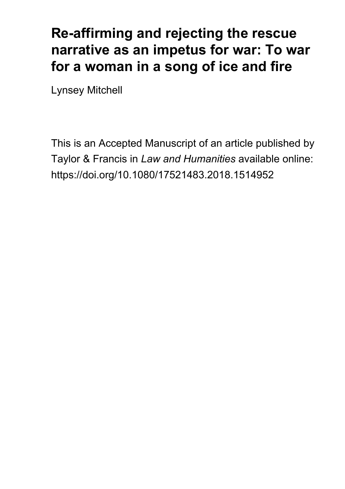# **Re-affirming and rejecting the rescue narrative as an impetus for war: To war for a woman in a song of ice and fire**

Lynsey Mitchell

This is an Accepted Manuscript of an article published by Taylor & Francis in *Law and Humanities* available online: https://doi.org/10.1080/17521483.2018.1514952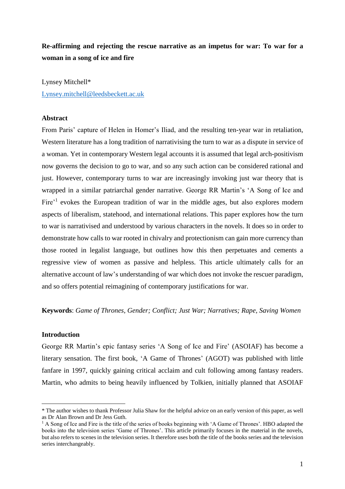**Re-affirming and rejecting the rescue narrative as an impetus for war: To war for a woman in a song of ice and fire**

Lynsey Mitchell\* [Lynsey.mitchell@leedsbeckett.ac.uk](mailto:Lynsey.mitchell@leedsbeckett.ac.uk)

## **Abstract**

From Paris' capture of Helen in Homer's Iliad, and the resulting ten-year war in retaliation, Western literature has a long tradition of narrativising the turn to war as a dispute in service of a woman. Yet in contemporary Western legal accounts it is assumed that legal arch-positivism now governs the decision to go to war, and so any such action can be considered rational and just. However, contemporary turns to war are increasingly invoking just war theory that is wrapped in a similar patriarchal gender narrative. George RR Martin's 'A Song of Ice and Fire<sup>'1</sup> evokes the European tradition of war in the middle ages, but also explores modern aspects of liberalism, statehood, and international relations. This paper explores how the turn to war is narrativised and understood by various characters in the novels. It does so in order to demonstrate how calls to war rooted in chivalry and protectionism can gain more currency than those rooted in legalist language, but outlines how this then perpetuates and cements a regressive view of women as passive and helpless. This article ultimately calls for an alternative account of law's understanding of war which does not invoke the rescuer paradigm, and so offers potential reimagining of contemporary justifications for war.

**Keywords**: *Game of Thrones*, *Gender; Conflict; Just War; Narratives; Rape, Saving Women*

# **Introduction**

George RR Martin's epic fantasy series 'A Song of Ice and Fire' (ASOIAF) has become a literary sensation. The first book, 'A Game of Thrones' (AGOT) was published with little fanfare in 1997, quickly gaining critical acclaim and cult following among fantasy readers. Martin, who admits to being heavily influenced by Tolkien, initially planned that ASOIAF

<sup>\*</sup> The author wishes to thank Professor Julia Shaw for the helpful advice on an early version of this paper, as well as Dr Alan Brown and Dr Jess Guth.

 $1$  A Song of Ice and Fire is the title of the series of books beginning with 'A Game of Thrones'. HBO adapted the books into the television series 'Game of Thrones'. This article primarily focuses in the material in the novels, but also refers to scenes in the television series. It therefore uses both the title of the books series and the television series interchangeably.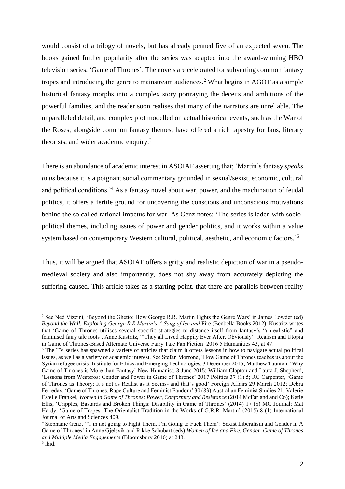would consist of a trilogy of novels, but has already penned five of an expected seven. The books gained further popularity after the series was adapted into the award-winning HBO television series, 'Game of Thrones'. The novels are celebrated for subverting common fantasy tropes and introducing the genre to mainstream audiences.<sup>2</sup> What begins in AGOT as a simple historical fantasy morphs into a complex story portraying the deceits and ambitions of the powerful families, and the reader soon realises that many of the narrators are unreliable. The unparalleled detail, and complex plot modelled on actual historical events, such as the War of the Roses, alongside common fantasy themes, have offered a rich tapestry for fans, literary theorists, and wider academic enquiry.<sup>3</sup>

There is an abundance of academic interest in ASOIAF asserting that; 'Martin's fantasy *speaks to us* because it is a poignant social commentary grounded in sexual/sexist, economic, cultural and political conditions.<sup>4</sup> As a fantasy novel about war, power, and the machination of feudal politics, it offers a fertile ground for uncovering the conscious and unconscious motivations behind the so called rational impetus for war. As Genz notes: 'The series is laden with sociopolitical themes, including issues of power and gender politics, and it works within a value system based on contemporary Western cultural, political, aesthetic, and economic factors.'<sup>5</sup>

Thus, it will be argued that ASOIAF offers a gritty and realistic depiction of war in a pseudomedieval society and also importantly, does not shy away from accurately depicting the suffering caused. This article takes as a starting point, that there are parallels between reality

<sup>&</sup>lt;sup>2</sup> See Ned Vizzini, 'Beyond the Ghetto: How George R.R. Martin Fights the Genre Wars' in James Lowder (ed) *Beyond the Wall: Exploring George R.R Martin's A Song of Ice and* Fire (Benbella Books 2012). Kustritz writes that 'Game of Thrones utilises several specific strategies to distance itself from fantasy's "unrealistic" and feminised fairy tale roots'. Anne Kustritz, '"They all Lived Happily Ever After. Obviously": Realism and Utopia in Game of Thrones-Based Alternate Universe Fairy Tale Fan Fiction' 2016 5 Humanities 43, at 47.

<sup>&</sup>lt;sup>3</sup> The TV series has spawned a variety of articles that claim it offers lessons in how to navigate actual political issues, as well as a variety of academic interest. See Stefan Morrone, 'How Game of Thrones teaches us about the Syrian refugee crisis' Institute for Ethics and Emerging Technologies, 3 December 2015; Matthew Taunton, 'Why Game of Thrones is More than Fantasy' New Humanist, 3 June 2015; William Clapton and Laura J. Shepherd, 'Lessons from Westeros: Gender and Power in Game of Thrones' 2017 Politics 37 (1) 5; RC Carpenter, 'Game of Thrones as Theory: It's not as Realist as it Seems- and that's good' Foreign Affairs 29 March 2012; Debra Ferreday, 'Game of Thrones, Rape Culture and Feminist Fandom' 30 (83) Australian Feminist Studies 21; Valerie Estelle Frankel, *Women in Game of Thrones: Power, Conformity and Resistance* (2014 McFarland and Co); Katie Ellis, 'Cripples, Bastards and Broken Things: Disability in Game of Thrones' (2014) 17 (5) MC Journal; Mat Hardy, 'Game of Tropes: The Orientalist Tradition in the Works of G.R.R. Martin' (2015) 8 (1) International Journal of Arts and Sciences 409.

<sup>4</sup> Stephanie Genz, '"I'm not going to Fight Them, I'm Going to Fuck Them": Sexist Liberalism and Gender in A Game of Thrones' in Anne Gjelsvik and Rikke Schubart (eds) *Women of Ice and Fire, Gender, Game of Thrones and Multiple Media Engagements* (Bloomsbury 2016) at 243. 5 ibid.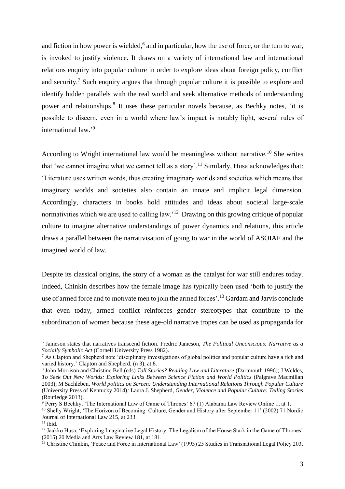and fiction in how power is wielded,<sup>6</sup> and in particular, how the use of force, or the turn to war, is invoked to justify violence. It draws on a variety of international law and international relations enquiry into popular culture in order to explore ideas about foreign policy, conflict and security.<sup>7</sup> Such enquiry argues that through popular culture it is possible to explore and identify hidden parallels with the real world and seek alternative methods of understanding power and relationships.<sup>8</sup> It uses these particular novels because, as Bechky notes, 'it is possible to discern, even in a world where law's impact is notably light, several rules of international law.'<sup>9</sup>

According to Wright international law would be meaningless without narrative.<sup>10</sup> She writes that 'we cannot imagine what we cannot tell as a story'.<sup>11</sup> Similarly, Husa acknowledges that: 'Literature uses written words, thus creating imaginary worlds and societies which means that imaginary worlds and societies also contain an innate and implicit legal dimension. Accordingly, characters in books hold attitudes and ideas about societal large-scale normativities which we are used to calling law.<sup>12</sup> Drawing on this growing critique of popular culture to imagine alternative understandings of power dynamics and relations, this article draws a parallel between the narrativisation of going to war in the world of ASOIAF and the imagined world of law.

Despite its classical origins, the story of a woman as the catalyst for war still endures today. Indeed, Chinkin describes how the female image has typically been used 'both to justify the use of armed force and to motivate men to join the armed forces'.<sup>13</sup> Gardam and Jarvis conclude that even today, armed conflict reinforces gender stereotypes that contribute to the subordination of women because these age-old narrative tropes can be used as propaganda for

<sup>6</sup> Jameson states that narratives transcend fiction. Fredric Jameson, *The Political Unconscious: Narrative as a Socially Symbolic Act* (Cornell University Press 1982).

<sup>&</sup>lt;sup>7</sup> As Clapton and Shepherd note 'disciplinary investigations of global politics and popular culture have a rich and varied history.' Clapton and Shepherd, (n 3), at 8.

<sup>8</sup> John Morrison and Christine Bell (eds) *Tall Stories? Reading Law and Literature* (Dartmouth 1996); J Weldes, *To Seek Out New Worlds: Exploring Links Between Science Fiction and World Politics* (Palgrave Macmillan 2003); M Sachleben, *World politics on Screen: Understanding International Relations Through Popular Culture*  (University Press of Kentucky 2014)*;* Laura J. Shepherd, *Gender, Violence and Popular Culture: Telling Stories*  (Routledge 2013).

 $9$  Perry S Bechky, 'The International Law of Game of Thrones' 67 (1) Alabama Law Review Online 1, at 1.

<sup>&</sup>lt;sup>10</sup> Shelly Wright, 'The Horizon of Becoming: Culture, Gender and History after September 11' (2002) 71 Nordic Journal of International Law 215, at 233.

 $11$  ibid.

<sup>&</sup>lt;sup>12</sup> Jaakko Husa, 'Exploring Imaginative Legal History: The Legalism of the House Stark in the Game of Thrones' (2015) 20 Media and Arts Law Review 181, at 181.

<sup>13</sup> Christine Chinkin, 'Peace and Force in International Law' (1993) 25 Studies in Transnational Legal Policy 203.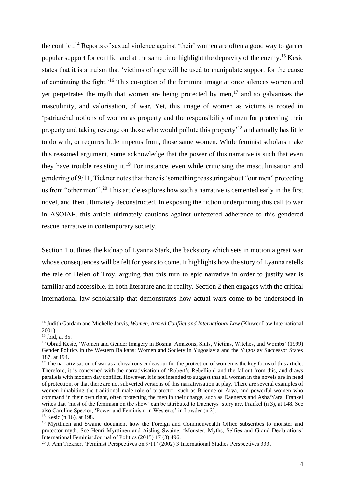the conflict.<sup>14</sup> Reports of sexual violence against 'their' women are often a good way to garner popular support for conflict and at the same time highlight the depravity of the enemy.<sup>15</sup> Kesic states that it is a truism that 'victims of rape will be used to manipulate support for the cause of continuing the fight.'<sup>16</sup> This co-option of the feminine image at once silences women and yet perpetrates the myth that women are being protected by men,<sup>17</sup> and so galvanises the masculinity, and valorisation, of war. Yet, this image of women as victims is rooted in 'patriarchal notions of women as property and the responsibility of men for protecting their property and taking revenge on those who would pollute this property<sup>18</sup> and actually has little to do with, or requires little impetus from, those same women. While feminist scholars make this reasoned argument, some acknowledge that the power of this narrative is such that even they have trouble resisting it.<sup>19</sup> For instance, even while criticising the masculinisation and gendering of 9/11, Tickner notes that there is 'something reassuring about "our men" protecting us from "other men"<sup>20</sup> This article explores how such a narrative is cemented early in the first novel, and then ultimately deconstructed. In exposing the fiction underpinning this call to war in ASOIAF, this article ultimately cautions against unfettered adherence to this gendered rescue narrative in contemporary society.

Section 1 outlines the kidnap of Lyanna Stark, the backstory which sets in motion a great war whose consequences will be felt for years to come. It highlights how the story of Lyanna retells the tale of Helen of Troy, arguing that this turn to epic narrative in order to justify war is familiar and accessible, in both literature and in reality. Section 2 then engages with the critical international law scholarship that demonstrates how actual wars come to be understood in

<sup>14</sup> Judith Gardam and Michelle Jarvis, *Women, Armed Conflict and International Law* (Kluwer Law International 2001).

<sup>&</sup>lt;sup>15</sup> ibid, at 35.

<sup>16</sup> Obrad Kesic, 'Women and Gender Imagery in Bosnia: Amazons, Sluts, Victims, Witches, and Wombs' (1999) Gender Politics in the Western Balkans: Women and Society in Yugoslavia and the Yugoslav Successor States 187, at 194.

 $17$  The narrativisation of war as a chivalrous endeavour for the protection of women is the key focus of this article. Therefore, it is concerned with the narrativisation of 'Robert's Rebellion' and the fallout from this, and draws parallels with modern day conflict. However, it is not intended to suggest that all women in the novels are in need of protection, or that there are not subverted versions of this narrativisation at play. There are several examples of women inhabiting the traditional male role of protector, such as Brienne or Arya, and powerful women who command in their own right, often protecting the men in their charge, such as Daenerys and Asha/Yara. Frankel writes that 'most of the feminism on the show' can be attributed to Daenerys' story arc. Frankel (n 3), at 148. See also Caroline Spector, 'Power and Feminism in Westeros' in Lowder (n 2).

<sup>18</sup> Kesic (n 16), at 198.

<sup>&</sup>lt;sup>19</sup> Myrttinen and Swaine document how the Foreign and Commonwealth Office subscribes to monster and protector myth. See Henri Myrttinen and Aisling Swaine, 'Monster, Myths, Selfies and Grand Declarations' International Feminist Journal of Politics (2015) 17 (3) 496.

<sup>&</sup>lt;sup>20</sup> J. Ann Tickner, 'Feminist Perspectives on 9/11' (2002) 3 International Studies Perspectives 333.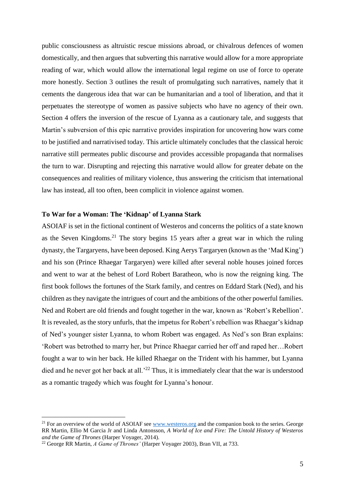public consciousness as altruistic rescue missions abroad, or chivalrous defences of women domestically, and then argues that subverting this narrative would allow for a more appropriate reading of war, which would allow the international legal regime on use of force to operate more honestly. Section 3 outlines the result of promulgating such narratives, namely that it cements the dangerous idea that war can be humanitarian and a tool of liberation, and that it perpetuates the stereotype of women as passive subjects who have no agency of their own. Section 4 offers the inversion of the rescue of Lyanna as a cautionary tale, and suggests that Martin's subversion of this epic narrative provides inspiration for uncovering how wars come to be justified and narrativised today. This article ultimately concludes that the classical heroic narrative still permeates public discourse and provides accessible propaganda that normalises the turn to war. Disrupting and rejecting this narrative would allow for greater debate on the consequences and realities of military violence, thus answering the criticism that international law has instead, all too often, been complicit in violence against women.

# **To War for a Woman: The 'Kidnap' of Lyanna Stark**

ASOIAF is set in the fictional continent of Westeros and concerns the politics of a state known as the Seven Kingdoms.<sup>21</sup> The story begins 15 years after a great war in which the ruling dynasty, the Targaryens, have been deposed. King Aerys Targaryen (known as the 'Mad King') and his son (Prince Rhaegar Targaryen) were killed after several noble houses joined forces and went to war at the behest of Lord Robert Baratheon, who is now the reigning king. The first book follows the fortunes of the Stark family, and centres on Eddard Stark (Ned), and his children as they navigate the intrigues of court and the ambitions of the other powerful families. Ned and Robert are old friends and fought together in the war, known as 'Robert's Rebellion'. It is revealed, as the story unfurls, that the impetus for Robert's rebellion was Rhaegar's kidnap of Ned's younger sister Lyanna, to whom Robert was engaged. As Ned's son Bran explains: 'Robert was betrothed to marry her, but Prince Rhaegar carried her off and raped her…Robert fought a war to win her back. He killed Rhaegar on the Trident with his hammer, but Lyanna died and he never got her back at all.<sup>22</sup> Thus, it is immediately clear that the war is understood as a romantic tragedy which was fought for Lyanna's honour.

 $21$  For an overview of the world of ASOIAF se[e www.westeros.org](http://www.westeros.org/) and the companion book to the series. George RR Martin, Ellio M Garcia Jr and Linda Antonsson, *A World of Ice and Fire: The Untold History of Westeros and the Game of Thrones* (Harper Voyager, 2014).

<sup>22</sup> George RR Martin, *A Game of Thrones'* (Harper Voyager 2003), Bran VII, at 733.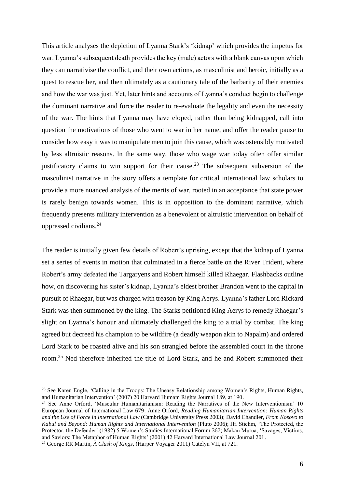This article analyses the depiction of Lyanna Stark's 'kidnap' which provides the impetus for war. Lyanna's subsequent death provides the key (male) actors with a blank canvas upon which they can narrativise the conflict, and their own actions, as masculinist and heroic, initially as a quest to rescue her, and then ultimately as a cautionary tale of the barbarity of their enemies and how the war was just. Yet, later hints and accounts of Lyanna's conduct begin to challenge the dominant narrative and force the reader to re-evaluate the legality and even the necessity of the war. The hints that Lyanna may have eloped, rather than being kidnapped, call into question the motivations of those who went to war in her name, and offer the reader pause to consider how easy it was to manipulate men to join this cause, which was ostensibly motivated by less altruistic reasons. In the same way, those who wage war today often offer similar justificatory claims to win support for their cause.<sup>23</sup> The subsequent subversion of the masculinist narrative in the story offers a template for critical international law scholars to provide a more nuanced analysis of the merits of war, rooted in an acceptance that state power is rarely benign towards women. This is in opposition to the dominant narrative, which frequently presents military intervention as a benevolent or altruistic intervention on behalf of oppressed civilians.<sup>24</sup>

The reader is initially given few details of Robert's uprising, except that the kidnap of Lyanna set a series of events in motion that culminated in a fierce battle on the River Trident, where Robert's army defeated the Targaryens and Robert himself killed Rhaegar. Flashbacks outline how, on discovering his sister's kidnap, Lyanna's eldest brother Brandon went to the capital in pursuit of Rhaegar, but was charged with treason by King Aerys. Lyanna's father Lord Rickard Stark was then summoned by the king. The Starks petitioned King Aerys to remedy Rhaegar's slight on Lyanna's honour and ultimately challenged the king to a trial by combat. The king agreed but decreed his champion to be wildfire (a deadly weapon akin to Napalm) and ordered Lord Stark to be roasted alive and his son strangled before the assembled court in the throne room. <sup>25</sup> Ned therefore inherited the title of Lord Stark, and he and Robert summoned their

<sup>&</sup>lt;sup>23</sup> See Karen Engle, 'Calling in the Troops: The Uneasy Relationship among Women's Rights, Human Rights, and Humanitarian Intervention' (2007) 20 Harvard Humam Rights Journal 189, at 190.

<sup>&</sup>lt;sup>24</sup> See Anne Orford, 'Muscular Humanitarianism: Reading the Narratives of the New Interventionism' 10 European Journal of International Law 679; Anne Orford, *Reading Humanitarian Intervention: Human Rights and the Use of Force in International Law* (Cambridge University Press 2003); David Chandler, *From Kosovo to Kabul and Beyond: Human Rights and International Intervention* (Pluto 2006); JH Stiehm, 'The Protected, the Protector, the Defender' (1982) 5 Women's Studies International Forum 367; Makau Mutua, 'Savages, Victims, and Saviors: The Metaphor of Human Rights' (2001) 42 Harvard International Law Journal 201.

<sup>25</sup> George RR Martin, *A Clash of Kings,* (Harper Voyager 2011) Catelyn VII, at 721.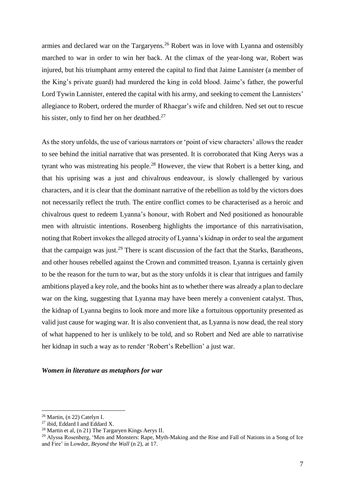armies and declared war on the Targaryens. <sup>26</sup> Robert was in love with Lyanna and ostensibly marched to war in order to win her back. At the climax of the year-long war, Robert was injured, but his triumphant army entered the capital to find that Jaime Lannister (a member of the King's private guard) had murdered the king in cold blood. Jaime's father, the powerful Lord Tywin Lannister, entered the capital with his army, and seeking to cement the Lannisters' allegiance to Robert, ordered the murder of Rhaegar's wife and children. Ned set out to rescue his sister, only to find her on her deathbed. $27$ 

As the story unfolds, the use of various narrators or 'point of view characters' allows the reader to see behind the initial narrative that was presented. It is corroborated that King Aerys was a tyrant who was mistreating his people.<sup>28</sup> However, the view that Robert is a better king, and that his uprising was a just and chivalrous endeavour, is slowly challenged by various characters, and it is clear that the dominant narrative of the rebellion as told by the victors does not necessarily reflect the truth. The entire conflict comes to be characterised as a heroic and chivalrous quest to redeem Lyanna's honour, with Robert and Ned positioned as honourable men with altruistic intentions. Rosenberg highlights the importance of this narrativisation, noting that Robert invokes the alleged atrocity of Lyanna's kidnap in order to seal the argument that the campaign was just.<sup>29</sup> There is scant discussion of the fact that the Starks, Baratheons, and other houses rebelled against the Crown and committed treason. Lyanna is certainly given to be the reason for the turn to war, but as the story unfolds it is clear that intrigues and family ambitions played a key role, and the books hint as to whether there was already a plan to declare war on the king, suggesting that Lyanna may have been merely a convenient catalyst. Thus, the kidnap of Lyanna begins to look more and more like a fortuitous opportunity presented as valid just cause for waging war. It is also convenient that, as Lyanna is now dead, the real story of what happened to her is unlikely to be told, and so Robert and Ned are able to narrativise her kidnap in such a way as to render 'Robert's Rebellion' a just war.

#### *Women in literature as metaphors for war*

<sup>26</sup> Martin, (n 22) Catelyn I.

<sup>&</sup>lt;sup>27</sup> ibid, Eddard I and Eddard X.

<sup>28</sup> Martin et al, (n 21) The Targaryen Kings Aerys II.

<sup>&</sup>lt;sup>29</sup> Alyssa Rosenberg, 'Men and Monsters: Rape, Myth-Making and the Rise and Fall of Nations in a Song of Ice and Fire' in Lowder, *Beyond the Wall* (n 2), at 17.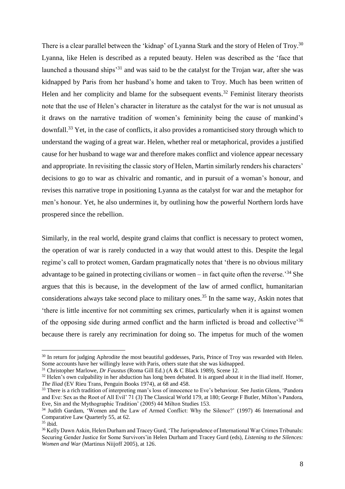There is a clear parallel between the 'kidnap' of Lyanna Stark and the story of Helen of Troy.<sup>30</sup> Lyanna, like Helen is described as a reputed beauty. Helen was described as the 'face that launched a thousand ships<sup>31</sup> and was said to be the catalyst for the Trojan war, after she was kidnapped by Paris from her husband's home and taken to Troy. Much has been written of Helen and her complicity and blame for the subsequent events.<sup>32</sup> Feminist literary theorists note that the use of Helen's character in literature as the catalyst for the war is not unusual as it draws on the narrative tradition of women's femininity being the cause of mankind's downfall.<sup>33</sup> Yet, in the case of conflicts, it also provides a romanticised story through which to understand the waging of a great war. Helen, whether real or metaphorical, provides a justified cause for her husband to wage war and therefore makes conflict and violence appear necessary and appropriate. In revisiting the classic story of Helen, Martin similarly renders his characters' decisions to go to war as chivalric and romantic, and in pursuit of a woman's honour, and revises this narrative trope in positioning Lyanna as the catalyst for war and the metaphor for men's honour. Yet, he also undermines it, by outlining how the powerful Northern lords have prospered since the rebellion.

Similarly, in the real world, despite grand claims that conflict is necessary to protect women, the operation of war is rarely conducted in a way that would attest to this. Despite the legal regime's call to protect women, Gardam pragmatically notes that 'there is no obvious military advantage to be gained in protecting civilians or women – in fact quite often the reverse.<sup>34</sup> She argues that this is because, in the development of the law of armed conflict, humanitarian considerations always take second place to military ones.<sup>35</sup> In the same way, Askin notes that 'there is little incentive for not committing sex crimes, particularly when it is against women of the opposing side during armed conflict and the harm inflicted is broad and collective'<sup>36</sup> because there is rarely any recrimination for doing so. The impetus for much of the women

<sup>&</sup>lt;sup>30</sup> In return for judging Aphrodite the most beautiful goddesses, Paris, Prince of Troy was rewarded with Helen. Some accounts have her willingly leave with Paris, others state that she was kidnapped.

<sup>31</sup> Christopher Marlowe, *Dr Faustus* (Roma Gill Ed.) (A & C Black 1989), Scene 12.

<sup>&</sup>lt;sup>32</sup> Helen's own culpability in her abduction has long been debated. It is argued about it in the Iliad itself. Homer, *The Iliad* (EV Rieu Trans, Penguin Books 1974), at 68 and 458.

<sup>&</sup>lt;sup>33</sup> There is a rich tradition of interpreting man's loss of innocence to Eve's behaviour. See Justin Glenn, 'Pandora and Eve: Sex as the Root of All Evil' 71 (3) The Classical World 179, at 180; George F Butler, Milton's Pandora, Eve, Sin and the Mythographic Tradition' (2005) 44 Milton Studies 153.

<sup>&</sup>lt;sup>34</sup> Judith Gardam, 'Women and the Law of Armed Conflict: Why the Silence?' (1997) 46 International and Comparative Law Quarterly 55, at 62.

 $35$  ibid.

<sup>36</sup> Kelly Dawn Askin, Helen Durham and Tracey Gurd, 'The Jurisprudence of International War Crimes Tribunals: Securing Gender Justice for Some Survivors'in Helen Durham and Tracey Gurd (eds), *Listening to the Silences: Women and War* (Martinus Niijoff 2005), at 126.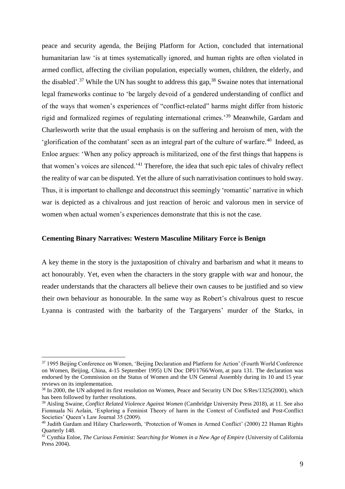peace and security agenda, the Beijing Platform for Action, concluded that international humanitarian law 'is at times systematically ignored, and human rights are often violated in armed conflict, affecting the civilian population, especially women, children, the elderly, and the disabled'.<sup>37</sup> While the UN has sought to address this gap,  $38$  Swaine notes that international legal frameworks continue to 'be largely devoid of a gendered understanding of conflict and of the ways that women's experiences of "conflict-related" harms might differ from historic rigid and formalized regimes of regulating international crimes.'<sup>39</sup> Meanwhile, Gardam and Charlesworth write that the usual emphasis is on the suffering and heroism of men, with the 'glorification of the combatant' seen as an integral part of the culture of warfare.<sup>40</sup> Indeed, as Enloe argues: 'When any policy approach is militarized, one of the first things that happens is that women's voices are silenced.'<sup>41</sup> Therefore, the idea that such epic tales of chivalry reflect the reality of war can be disputed. Yet the allure of such narrativisation continues to hold sway. Thus, it is important to challenge and deconstruct this seemingly 'romantic' narrative in which war is depicted as a chivalrous and just reaction of heroic and valorous men in service of women when actual women's experiences demonstrate that this is not the case.

## **Cementing Binary Narratives: Western Masculine Military Force is Benign**

A key theme in the story is the juxtaposition of chivalry and barbarism and what it means to act honourably. Yet, even when the characters in the story grapple with war and honour, the reader understands that the characters all believe their own causes to be justified and so view their own behaviour as honourable. In the same way as Robert's chivalrous quest to rescue Lyanna is contrasted with the barbarity of the Targaryens' murder of the Starks, in

<sup>&</sup>lt;sup>37</sup> 1995 Beijing Conference on Women, 'Beijing Declaration and Platform for Action' (Fourth World Conference on Women, Beijing, China, 4-15 September 1995) UN Doc DPI/1766/Wom, at para 131. The declaration was endorsed by the Commission on the Status of Women and the UN General Assembly during its 10 and 15 year reviews on its implementation.

<sup>&</sup>lt;sup>38</sup> In 2000, the UN adopted its first resolution on Women, Peace and Security UN Doc S/Res/1325(2000), which has been followed by further resolutions.

<sup>39</sup> Aisling Swaine, *Conflict Related Violence Against Women* (Cambridge University Press 2018), at 11. See also Fionnuala Ni Aolain, 'Exploring a Feminist Theory of harm in the Context of Conflicted and Post-Conflict Societies' Queen's Law Journal 35 (2009).

<sup>40</sup> Judith Gardam and Hilary Charlesworth, 'Protection of Women in Armed Conflict' (2000) 22 Human Rights Quarterly 148.

<sup>41</sup> Cynthia Enloe, *The Curious Feminist: Searching for Women in a New Age of Empire* (University of California Press 2004).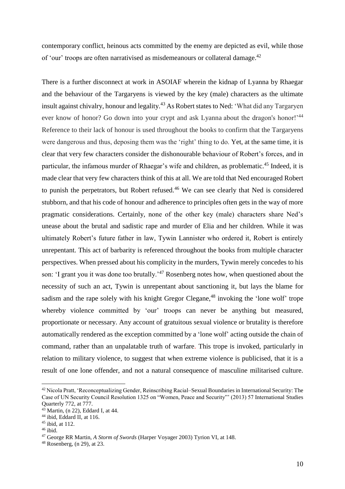contemporary conflict, heinous acts committed by the enemy are depicted as evil, while those of 'our' troops are often narrativised as misdemeanours or collateral damage.<sup>42</sup>

There is a further disconnect at work in ASOIAF wherein the kidnap of Lyanna by Rhaegar and the behaviour of the Targaryens is viewed by the key (male) characters as the ultimate insult against chivalry, honour and legality.<sup>43</sup> As Robert states to Ned: 'What did any Targaryen ever know of honor? Go down into your crypt and ask Lyanna about the dragon's honor!'<sup>44</sup> Reference to their lack of honour is used throughout the books to confirm that the Targaryens were dangerous and thus, deposing them was the 'right' thing to do. Yet, at the same time, it is clear that very few characters consider the dishonourable behaviour of Robert's forces, and in particular, the infamous murder of Rhaegar's wife and children, as problematic.<sup>45</sup> Indeed, it is made clear that very few characters think of this at all. We are told that Ned encouraged Robert to punish the perpetrators, but Robert refused.<sup>46</sup> We can see clearly that Ned is considered stubborn, and that his code of honour and adherence to principles often gets in the way of more pragmatic considerations. Certainly, none of the other key (male) characters share Ned's unease about the brutal and sadistic rape and murder of Elia and her children. While it was ultimately Robert's future father in law, Tywin Lannister who ordered it, Robert is entirely unrepentant. This act of barbarity is referenced throughout the books from multiple character perspectives. When pressed about his complicity in the murders, Tywin merely concedes to his son: 'I grant you it was done too brutally.'<sup>47</sup> Rosenberg notes how, when questioned about the necessity of such an act, Tywin is unrepentant about sanctioning it, but lays the blame for sadism and the rape solely with his knight Gregor Clegane,<sup>48</sup> invoking the 'lone wolf' trope whereby violence committed by 'our' troops can never be anything but measured, proportionate or necessary. Any account of gratuitous sexual violence or brutality is therefore automatically rendered as the exception committed by a 'lone wolf' acting outside the chain of command, rather than an unpalatable truth of warfare. This trope is invoked, particularly in relation to military violence, to suggest that when extreme violence is publicised, that it is a result of one lone offender, and not a natural consequence of masculine militarised culture.

<sup>42</sup> Nicola Pratt, 'Reconceptualizing Gender, Reinscribing Racial–Sexual Boundaries in International Security: The Case of UN Security Council Resolution 1325 on "Women, Peace and Security"' (2013) 57 International Studies Quarterly 772, at 777.

<sup>43</sup> Martin, (n 22), Eddard I, at 44.

<sup>&</sup>lt;sup>44</sup> ibid, Eddard II, at 116.

 $45$  ibid, at 112.

 $46$  ibid.

<sup>47</sup> George RR Martin, *A Storm of Swords* (Harper Voyager 2003) Tyrion VI, at 148.

<sup>48</sup> Rosenberg, (n 29), at 23.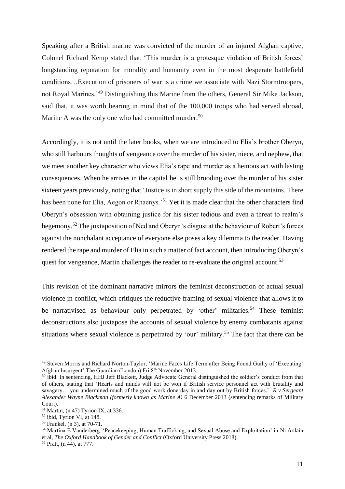Speaking after a British marine was convicted of the murder of an injured Afghan captive, Colonel Richard Kemp stated that: 'This murder is a grotesque violation of British forces' longstanding reputation for morality and humanity even in the most desperate battlefield conditions…Execution of prisoners of war is a crime we associate with Nazi Stormtroopers, not Royal Marines.'<sup>49</sup> Distinguishing this Marine from the others, General Sir Mike Jackson, said that, it was worth bearing in mind that of the 100,000 troops who had served abroad, Marine A was the only one who had committed murder.<sup>50</sup>

Accordingly, it is not until the later books, when we are introduced to Elia's brother Oberyn, who still harbours thoughts of vengeance over the murder of his sister, niece, and nephew, that we meet another key character who views Elia's rape and murder as a heinous act with lasting consequences. When he arrives in the capital he is still brooding over the murder of his sister sixteen years previously, noting that 'Justice is in short supply this side of the mountains. There has been none for Elia, Aegon or Rhaenys.<sup>51</sup> Yet it is made clear that the other characters find Oberyn's obsession with obtaining justice for his sister tedious and even a threat to realm's hegemony.<sup>52</sup> The juxtaposition of Ned and Oberyn's disgust at the behaviour of Robert's forces against the nonchalant acceptance of everyone else poses a key dilemma to the reader. Having rendered the rape and murder of Elia in such a matter of fact account, then introducing Oberyn's quest for vengeance, Martin challenges the reader to re-evaluate the original account.<sup>53</sup>

This revision of the dominant narrative mirrors the feminist deconstruction of actual sexual violence in conflict, which critiques the reductive framing of sexual violence that allows it to be narrativised as behaviour only perpetrated by 'other' militaries.<sup>54</sup> These feminist deconstructions also juxtapose the accounts of sexual violence by enemy combatants against situations where sexual violence is perpetrated by 'our' military.<sup>55</sup> The fact that there can be

<sup>49</sup> Steven Morris and Richard Norton-Taylor, 'Marine Faces Life Term after Being Found Guilty of 'Executing' Afghan Insurgent' The Guardian (London) Fri 8th November 2013.

<sup>&</sup>lt;sup>50</sup> ibid. In sentencing, HHJ Jeff Blackett, Judge Advocate General distinguished the soldier's conduct from that of others, stating that 'Hearts and minds will not be won if British service personnel act with brutality and savagery… you undermined much of the good work done day in and day out by British forces.' *R v Sergeant Alexander Wayne Blackman (formerly known as Marine A)* 6 December 2013 (sentencing remarks of Military Court).

<sup>51</sup> Martin, (n 47) Tyrion IX, at 336.

<sup>52</sup> ibid, Tyrion VI, at 148.

<sup>53</sup> Frankel, (n 3)*,* at 70-71*.*

<sup>54</sup> Martina E Vanderberg. 'Peacekeeping, Human Trafficking, and Sexual Abuse and Exploitation' in Ni Aolain et al, *The Oxford Handbook of Gender and Conflict* (Oxford University Press 2018).

<sup>55</sup> Pratt, (n 44), at 777.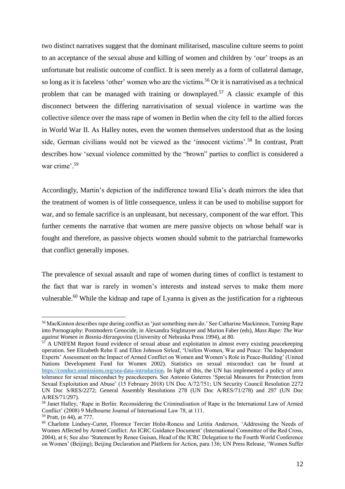two distinct narratives suggest that the dominant militarised, masculine culture seems to point to an acceptance of the sexual abuse and killing of women and children by 'our' troops as an unfortunate but realistic outcome of conflict. It is seen merely as a form of collateral damage, so long as it is faceless 'other' women who are the victims.<sup>56</sup> Or it is narrativised as a technical problem that can be managed with training or downplayed.<sup>57</sup> A classic example of this disconnect between the differing narrativisation of sexual violence in wartime was the collective silence over the mass rape of women in Berlin when the city fell to the allied forces in World War II. As Halley notes, even the women themselves understood that as the losing side, German civilians would not be viewed as the 'innocent victims'.<sup>58</sup> In contrast, Pratt describes how 'sexual violence committed by the "brown" parties to conflict is considered a war crime'.<sup>59</sup>

Accordingly, Martin's depiction of the indifference toward Elia's death mirrors the idea that the treatment of women is of little consequence, unless it can be used to mobilise support for war, and so female sacrifice is an unpleasant, but necessary, component of the war effort. This further cements the narrative that women are mere passive objects on whose behalf war is fought and therefore, as passive objects women should submit to the patriarchal frameworks that conflict generally imposes.

The prevalence of sexual assault and rape of women during times of conflict is testament to the fact that war is rarely in women's interests and instead serves to make them more vulnerable.<sup>60</sup> While the kidnap and rape of Lyanna is given as the justification for a righteous

<sup>56</sup> MacKinnon describes rape during conflict as 'just something men do.' See Catharine Mackinnon, Turning Rape into Pornography: Postmodern Genocide, in Alexandra Stiglmayer and Marion Faber (eds), *Mass Rape: The War against Women in Bosnia-Herzegovina* (University of Nebraska Press 1994)*,* at 80.

 $57$  A UNIFEM Report found evidence of sexual abuse and exploitation in almost every existing peacekeeping operation. See Elizabeth Rehn E and Ellen Johnson Sirleaf, 'Unifem Women, War and Peace: The Independent Experts' Assessment on the Impact of Armed Conflict on Women and Women's Role in Peace-Building' (United Nations Development Fund for Women 2002). Statistics on sexual misconduct can be found at [https://conduct.unmissions.org/sea-data-introduction.](https://conduct.unmissions.org/sea-data-introduction) In light of this, the UN has implemented a policy of zero tolerance for sexual misconduct by peacekeepers. See Antonio Guterres 'Special Measures for Protection from Sexual Exploitation and Abuse' (15 February 2018) UN Doc A/72/751; UN Security Council Resolution 2272 UN Doc S/RES/2272; General Assembly Resolutions 278 (UN Doc A/RES/71/278) and 297 (UN Doc A/RES/71/297).

<sup>58</sup> Janet Halley, 'Rape in Berlin: Reconsidering the Criminalisation of Rape in the International Law of Armed Conflict' (2008) 9 Melbourne Journal of International Law 78, at 111. <sup>59</sup> Pratt, (n 44), at 777.

<sup>&</sup>lt;sup>60</sup> Charlotte Lindsey-Curtet, Florence Tercier Holst-Roness and Letitia Anderson, 'Addressing the Needs of Women Affected by Armed Conflict: An ICRC Guidance Document' (International Committee of the Red Cross, 2004), at 6; See also 'Statement by Renee Guisan, Head of the ICRC Delegation to the Fourth World Conference on Women' (Beijing); Beijing Declaration and Platform for Action, para 136; UN Press Release, 'Women Suffer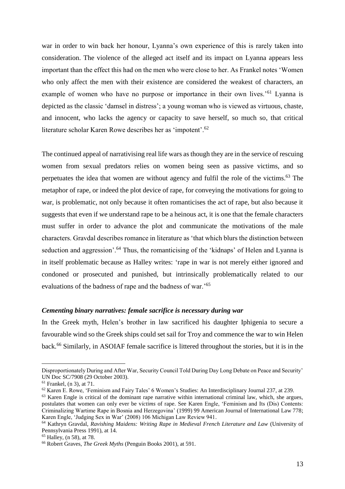war in order to win back her honour, Lyanna's own experience of this is rarely taken into consideration. The violence of the alleged act itself and its impact on Lyanna appears less important than the effect this had on the men who were close to her. As Frankel notes 'Women who only affect the men with their existence are considered the weakest of characters, an example of women who have no purpose or importance in their own lives.<sup>'61</sup> Lyanna is depicted as the classic 'damsel in distress'; a young woman who is viewed as virtuous, chaste, and innocent, who lacks the agency or capacity to save herself, so much so, that critical literature scholar Karen Rowe describes her as 'impotent'.<sup>62</sup>

The continued appeal of narrativising real life wars as though they are in the service of rescuing women from sexual predators relies on women being seen as passive victims, and so perpetuates the idea that women are without agency and fulfil the role of the victims. <sup>63</sup> The metaphor of rape, or indeed the plot device of rape, for conveying the motivations for going to war, is problematic, not only because it often romanticises the act of rape, but also because it suggests that even if we understand rape to be a heinous act, it is one that the female characters must suffer in order to advance the plot and communicate the motivations of the male characters. Gravdal describes romance in literature as 'that which blurs the distinction between seduction and aggression'.<sup>64</sup> Thus, the romanticising of the 'kidnaps' of Helen and Lyanna is in itself problematic because as Halley writes: 'rape in war is not merely either ignored and condoned or prosecuted and punished, but intrinsically problematically related to our evaluations of the badness of rape and the badness of war.'<sup>65</sup>

#### *Cementing binary narratives: female sacrifice is necessary during war*

In the Greek myth, Helen's brother in law sacrificed his daughter Iphigenia to secure a favourable wind so the Greek ships could set sail for Troy and commence the war to win Helen back.<sup>66</sup> Similarly, in ASOIAF female sacrifice is littered throughout the stories, but it is in the

Disproportionately During and After War, Security Council Told During Day Long Debate on Peace and Security' UN Doc SC/7908 (29 October 2003).

<sup>61</sup> Frankel, (n 3)*,* at 71.

<sup>62</sup> Karen E. Rowe, 'Feminism and Fairy Tales' 6 Women's Studies: An Interdisciplinary Journal 237, at 239.

<sup>&</sup>lt;sup>63</sup> Karen Engle is critical of the dominant rape narrative within international criminal law, which, she argues, postulates that women can only ever be v*ictims* of rape. See Karen Engle, 'Feminism and Its (Dis) Contents: Criminalizing Wartime Rape in Bosnia and Herzegovina' (1999) 99 American Journal of International Law 778; Karen Engle, 'Judging Sex in War' (2008) 106 Michigan Law Review 941.

<sup>64</sup> Kathryn Gravdal, *Ravishing Maidens: Writing Rape in Medieval French Literature and Law* (University of Pennsylvania Press 1991), at 14.

<sup>65</sup> Halley, (n 58), at 78.

<sup>66</sup> Robert Graves, *The Greek Myths* (Penguin Books 2001), at 591.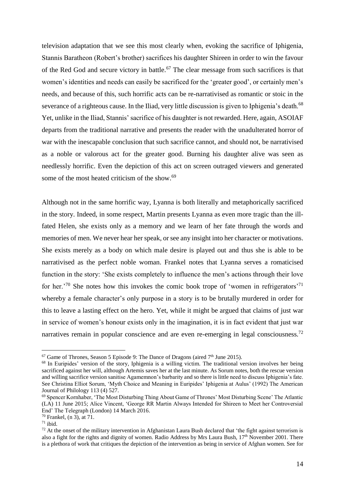television adaptation that we see this most clearly when, evoking the sacrifice of Iphigenia, Stannis Baratheon (Robert's brother) sacrifices his daughter Shireen in order to win the favour of the Red God and secure victory in battle.<sup>67</sup> The clear message from such sacrifices is that women's identities and needs can easily be sacrificed for the 'greater good', or certainly men's needs, and because of this, such horrific acts can be re-narrativised as romantic or stoic in the severance of a righteous cause. In the Iliad, very little discussion is given to Iphigenia's death.<sup>68</sup> Yet, unlike in the Iliad, Stannis' sacrifice of his daughter is not rewarded. Here, again, ASOIAF departs from the traditional narrative and presents the reader with the unadulterated horror of war with the inescapable conclusion that such sacrifice cannot, and should not, be narrativised as a noble or valorous act for the greater good. Burning his daughter alive was seen as needlessly horrific. Even the depiction of this act on screen outraged viewers and generated some of the most heated criticism of the show.<sup>69</sup>

Although not in the same horrific way, Lyanna is both literally and metaphorically sacrificed in the story. Indeed, in some respect, Martin presents Lyanna as even more tragic than the illfated Helen, she exists only as a memory and we learn of her fate through the words and memories of men. We never hear her speak, or see any insight into her character or motivations. She exists merely as a body on which male desire is played out and thus she is able to be narrativised as the perfect noble woman. Frankel notes that Lyanna serves a romaticised function in the story: 'She exists completely to influence the men's actions through their love for her.<sup>'70</sup> She notes how this invokes the comic book trope of 'women in refrigerators'<sup>71</sup> whereby a female character's only purpose in a story is to be brutally murdered in order for this to leave a lasting effect on the hero. Yet, while it might be argued that claims of just war in service of women's honour exists only in the imagination, it is in fact evident that just war narratives remain in popular conscience and are even re-emerging in legal consciousness.<sup>72</sup>

 $67$  Game of Thrones, Season 5 Episode 9: The Dance of Dragons (aired  $7<sup>th</sup>$  June 2015).

<sup>&</sup>lt;sup>68</sup> In Euripides' version of the story, Iphigenia is a willing victim. The traditional version involves her being sacrificed against her will, although Artemis saves her at the last minute. As Sorum notes, both the rescue version and willing sacrifice version sanitise Agamemnon's barbarity and so there is little need to discuss Iphigenia's fate. See Christina Elliot Sorum, 'Myth Choice and Meaning in Euripides' Iphigenia at Aulus' (1992) The American Journal of Philology 113 (4) 527.

<sup>&</sup>lt;sup>69</sup> Spencer Kornhaber, 'The Most Disturbing Thing About Game of Thrones' Most Disturbing Scene' The Atlantic (LA) 11 June 2015; Alice Vincent, 'George RR Martin Always Intended for Shireen to Meet her Controversial End' The Telegraph (London) 14 March 2016.

<sup>70</sup> Frankel, (n 3), at 71.

 $71$  ibid.

 $72$  At the onset of the military intervention in Afghanistan Laura Bush declared that 'the fight against terrorism is also a fight for the rights and dignity of women. Radio Address by Mrs Laura Bush, 17<sup>th</sup> November 2001. There is a plethora of work that critiques the depiction of the intervention as being in service of Afghan women. See for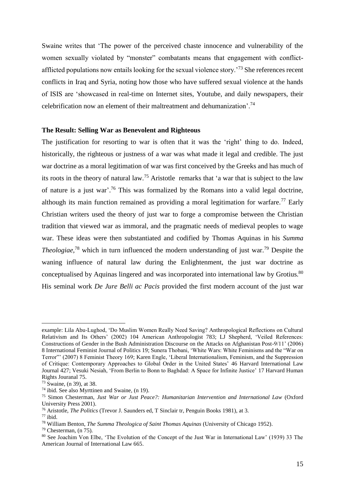Swaine writes that 'The power of the perceived chaste innocence and vulnerability of the women sexually violated by "monster" combatants means that engagement with conflictafflicted populations now entails looking for the sexual violence story.<sup>73</sup> She references recent conflicts in Iraq and Syria, noting how those who have suffered sexual violence at the hands of ISIS are 'showcased in real-time on Internet sites, Youtube, and daily newspapers, their celebrification now an element of their maltreatment and dehumanization'.<sup>74</sup>

#### **The Result: Selling War as Benevolent and Righteous**

The justification for resorting to war is often that it was the 'right' thing to do. Indeed, historically, the righteous or justness of a war was what made it legal and credible. The just war doctrine as a moral legitimation of war was first conceived by the Greeks and has much of its roots in the theory of natural law.<sup>75</sup> Aristotle remarks that 'a war that is subject to the law of nature is a just war'. <sup>76</sup> This was formalized by the Romans into a valid legal doctrine, although its main function remained as providing a moral legitimation for warfare.<sup>77</sup> Early Christian writers used the theory of just war to forge a compromise between the Christian tradition that viewed war as immoral, and the pragmatic needs of medieval peoples to wage war. These ideas were then substantiated and codified by Thomas Aquinas in his *Summa Theologiae*,<sup>78</sup> which in turn influenced the modern understanding of just war.<sup>79</sup> Despite the waning influence of natural law during the Enlightenment, the just war doctrine as conceptualised by Aquinas lingered and was incorporated into international law by Grotius.<sup>80</sup> His seminal work *De Jure Belli ac Pacis* provided the first modern account of the just war

example: Lila Abu‐Lughod, 'Do Muslim Women Really Need Saving? Anthropological Reflections on Cultural Relativism and Its Others' (2002) 104 American Anthropologist 783; LJ Shepherd, 'Veiled References: Constructions of Gender in the Bush Administration Discourse on the Attacks on Afghanistan Post-9/11' (2006) 8 International Feminist Journal of Politics 19; Sunera Thobani, 'White Wars: White Feminisms and the "War on Terror"' (2007) 8 Feminist Theory 169; Karen Engle, 'Liberal Internationalism, Feminism, and the Suppression of Critique: Contemporary Approaches to Global Order in the United States' 46 Harvard International Law Journal 427; Vesuki Nesiah, 'From Berlin to Bonn to Baghdad: A Space for Infinite Justice' 17 Harvard Human Rights Jouranal 75.

<sup>73</sup> Swaine, (n 39), at 38.

<sup>74</sup> ibid. See also Myrttinen and Swaine, (n 19).

<sup>75</sup> Simon Chesterman, *Just War or Just Peace?: Humanitarian Intervention and International Law* (Oxford University Press 2001).

<sup>76</sup> Aristotle, *The Politics* (Trevor J. Saunders ed, T Sinclair tr, Penguin Books 1981), at 3.

<sup>77</sup> ibid.

<sup>78</sup> William Benton, *The Summa Theologica of Saint Thomas Aquinas* (University of Chicago 1952).

<sup>79</sup> Chesterman, (n 75)*.*

<sup>80</sup> See Joachim Von Elbe, 'The Evolution of the Concept of the Just War in International Law' (1939) 33 The American Journal of International Law 665.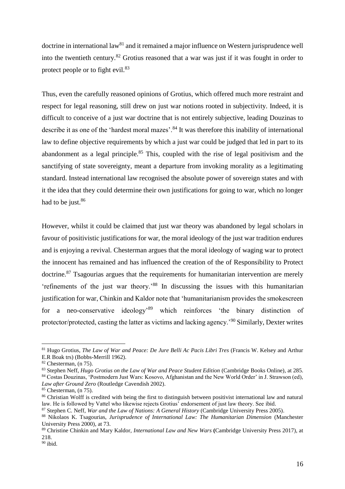doctrine in international law<sup>81</sup> and it remained a major influence on Western jurisprudence well into the twentieth century.<sup>82</sup> Grotius reasoned that a war was just if it was fought in order to protect people or to fight evil.<sup>83</sup>

Thus, even the carefully reasoned opinions of Grotius, which offered much more restraint and respect for legal reasoning, still drew on just war notions rooted in subjectivity. Indeed, it is difficult to conceive of a just war doctrine that is not entirely subjective, leading Douzinas to describe it as one of the 'hardest moral mazes'.<sup>84</sup> It was therefore this inability of international law to define objective requirements by which a just war could be judged that led in part to its abandonment as a legal principle.<sup>85</sup> This, coupled with the rise of legal positivism and the sanctifying of state sovereignty, meant a departure from invoking morality as a legitimating standard. Instead international law recognised the absolute power of sovereign states and with it the idea that they could determine their own justifications for going to war, which no longer had to be just.<sup>86</sup>

However, whilst it could be claimed that just war theory was abandoned by legal scholars in favour of positivistic justifications for war, the moral ideology of the just war tradition endures and is enjoying a revival. Chesterman argues that the moral ideology of waging war to protect the innocent has remained and has influenced the creation of the of Responsibility to Protect doctrine.<sup>87</sup> Tsagourias argues that the requirements for humanitarian intervention are merely 'refinements of the just war theory.'<sup>88</sup> In discussing the issues with this humanitarian justification for war, Chinkin and Kaldor note that 'humanitarianism provides the smokescreen for a neo-conservative ideology'<sup>89</sup> which reinforces 'the binary distinction of protector/protected, casting the latter as victims and lacking agency.'<sup>90</sup> Similarly, Dexter writes

<sup>81</sup> Hugo Grotius, *The Law of War and Peace: De Jure Belli Ac Pacis Libri Tres* (Francis W. Kelsey and Arthur E.R Boak trs) (Bobbs-Merrill 1962).

 $82$  Chesterman, (n 75).

<sup>83</sup> Stephen Neff, *Hugo Grotius on the Law of War and Peace Student Edition* (Cambridge Books Online), at 285.

<sup>84</sup> Costas Douzinas, 'Postmodern Just Wars: Kosovo, Afghanistan and the New World Order' in J. Strawson (ed), *Law after Ground Zero* (Routledge Cavendish 2002).

<sup>85</sup> Chesterman, (n 75).

<sup>86</sup> Christian Wolff is credited with being the first to distinguish between positivist international law and natural law. He is followed by Vattel who likewise rejects Grotius' endorsement of just law theory. See ibid.

<sup>87</sup> Stephen C. Neff, *War and the Law of Nations: A General History* (Cambridge University Press 2005).

<sup>88</sup> Nikolaos K. Tsagourias, *Jurisprudence of International Law: The Humanitarian Dimension* (Manchester University Press 2000), at 73.

<sup>89</sup> Christine Chinkin and Mary Kaldor, *International Law and New Wars* **(**Cambridge University Press 2017), at 218.

 $90$  ibid.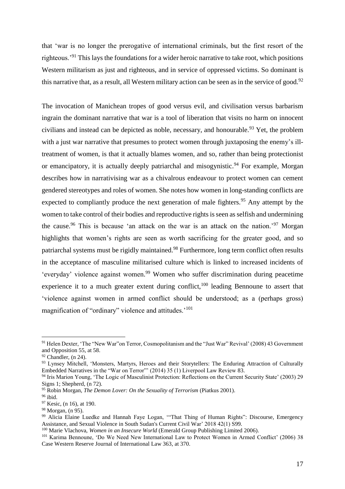that 'war is no longer the prerogative of international criminals, but the first resort of the righteous.'<sup>91</sup> This lays the foundations for a wider heroic narrative to take root, which positions Western militarism as just and righteous, and in service of oppressed victims. So dominant is this narrative that, as a result, all Western military action can be seen as in the service of good.<sup>92</sup>

The invocation of Manichean tropes of good versus evil, and civilisation versus barbarism ingrain the dominant narrative that war is a tool of liberation that visits no harm on innocent civilians and instead can be depicted as noble, necessary, and honourable.<sup>93</sup> Yet, the problem with a just war narrative that presumes to protect women through juxtaposing the enemy's illtreatment of women, is that it actually blames women, and so, rather than being protectionist or emancipatory, it is actually deeply patriarchal and misogynistic.<sup>94</sup> For example, Morgan describes how in narrativising war as a chivalrous endeavour to protect women can cement gendered stereotypes and roles of women. She notes how women in long-standing conflicts are expected to compliantly produce the next generation of male fighters.<sup>95</sup> Any attempt by the women to take control of their bodies and reproductive rights is seen as selfish and undermining the cause.<sup>96</sup> This is because 'an attack on the war is an attack on the nation.<sup>97</sup> Morgan highlights that women's rights are seen as worth sacrificing for the greater good, and so patriarchal systems must be rigidly maintained.<sup>98</sup> Furthermore, long term conflict often results in the acceptance of masculine militarised culture which is linked to increased incidents of 'everyday' violence against women. <sup>99</sup> Women who suffer discrimination during peacetime experience it to a much greater extent during conflict,  $100$  leading Bennoune to assert that 'violence against women in armed conflict should be understood; as a (perhaps gross) magnification of "ordinary" violence and attitudes.'<sup>101</sup>

<sup>&</sup>lt;sup>91</sup> Helen Dexter, 'The "New War"on Terror, Cosmopolitanism and the "Just War" Revival' (2008) 43 Government and Opposition 55, at 58.

 $92$  Chandler, (n 24).

<sup>&</sup>lt;sup>93</sup> Lynsey Mitchell, 'Monsters, Martyrs, Heroes and their Storytellers: The Enduring Attraction of Culturally Embedded Narratives in the "War on Terror"' (2014) 35 (1) Liverpool Law Review 83.

<sup>94</sup> Iris Marion Young, 'The Logic of Masculinist Protection: Reflections on the Current Security State' (2003) 29 Signs 1; Shepherd, (n 72).

<sup>95</sup> Robin Morgan, *The Demon Lover: On the Sexuality of Terrorism* (Piatkus 2001).

 $\rm ^{96}$ ibid.

<sup>97</sup> Kesic, (n 16), at 190.

<sup>98</sup> Morgan, (n 95).

<sup>99</sup> Alicia Elaine Luedke and Hannah Faye Logan, '"That Thing of Human Rights": Discourse, Emergency Assistance, and Sexual Violence in South Sudan's Current Civil War' 2018 42(1) S99.

<sup>100</sup> Marie Vlachova, *Women in an Insecure World* (Emerald Group Publishing Limited 2006).

<sup>&</sup>lt;sup>101</sup> Karima Bennoune, 'Do We Need New International Law to Protect Women in Armed Conflict' (2006) 38 Case Western Reserve Journal of International Law 363, at 370.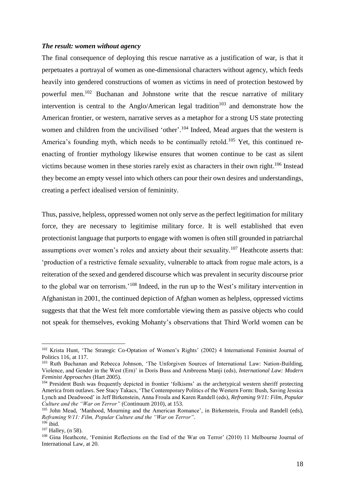#### *The result: women without agency*

The final consequence of deploying this rescue narrative as a justification of war, is that it perpetuates a portrayal of women as one-dimensional characters without agency, which feeds heavily into gendered constructions of women as victims in need of protection bestowed by powerful men.<sup>102</sup> Buchanan and Johnstone write that the rescue narrative of military intervention is central to the Anglo/American legal tradition<sup>103</sup> and demonstrate how the American frontier, or western, narrative serves as a metaphor for a strong US state protecting women and children from the uncivilised 'other'.<sup>104</sup> Indeed, Mead argues that the western is America's founding myth, which needs to be continually retold.<sup>105</sup> Yet, this continued reenacting of frontier mythology likewise ensures that women continue to be cast as silent victims because women in these stories rarely exist as characters in their own right.<sup>106</sup> Instead they become an empty vessel into which others can pour their own desires and understandings, creating a perfect idealised version of femininity.

Thus, passive, helpless, oppressed women not only serve as the perfect legitimation for military force, they are necessary to legitimise military force. It is well established that even protectionist language that purports to engage with women is often still grounded in patriarchal assumptions over women's roles and anxiety about their sexuality.<sup>107</sup> Heathcote asserts that: 'production of a restrictive female sexuality, vulnerable to attack from rogue male actors, is a reiteration of the sexed and gendered discourse which was prevalent in security discourse prior to the global war on terrorism.'<sup>108</sup> Indeed, in the run up to the West's military intervention in Afghanistan in 2001, the continued depiction of Afghan women as helpless, oppressed victims suggests that that the West felt more comfortable viewing them as passive objects who could not speak for themselves, evoking Mohanty's observations that Third World women can be

<sup>102</sup> Krista Hunt, 'The Strategic Co-Optation of Women's Rights' (2002) 4 International Feminist Journal of Politics 116, at 117.

<sup>103</sup> Ruth Buchanan and Rebecca Johnson, 'The Unforgiven Sources of International Law: Nation-Building, Violence, and Gender in the West (Ern)' in Doris Buss and Ambreena Manji (eds), *International Law: Modern Feminist Approaches* (Hart 2005).

<sup>&</sup>lt;sup>104</sup> President Bush was frequently depicted in frontier 'folkisms' as the archetypical western sheriff protecting America from outlaws. See Stacy Takacs, 'The Contemporary Politics of the Western Form: Bush, Saving Jessica Lynch and Deadwood' in Jeff Birkenstein, Anna Froula and Karen Randell (eds), *Reframing 9/11: Film, Popular Culture and the "War on Terror"* (Continuum 2010), at 153.

<sup>&</sup>lt;sup>105</sup> John Mead, 'Manhood, Mourning and the American Romance', in Birkenstein, Froula and Randell (eds), *Reframing 9/11: Film, Popular Culture and the "War on Terror"*.

 $106$  ibid.

<sup>107</sup> Halley, (n 58).

<sup>108</sup> Gina Heathcote, 'Feminist Reflections on the End of the War on Terror' (2010) 11 Melbourne Journal of International Law, at 20.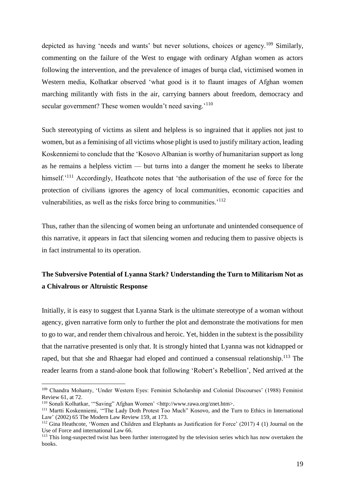depicted as having 'needs and wants' but never solutions, choices or agency.<sup>109</sup> Similarly, commenting on the failure of the West to engage with ordinary Afghan women as actors following the intervention, and the prevalence of images of burqa clad, victimised women in Western media, Kolhatkar observed 'what good is it to flaunt images of Afghan women marching militantly with fists in the air, carrying banners about freedom, democracy and secular government? These women wouldn't need saving.'<sup>110</sup>

Such stereotyping of victims as silent and helpless is so ingrained that it applies not just to women, but as a feminising of all victims whose plight is used to justify military action, leading Koskenniemi to conclude that the 'Kosovo Albanian is worthy of humanitarian support as long as he remains a helpless victim — but turns into a danger the moment he seeks to liberate himself.<sup>'111</sup> Accordingly, Heathcote notes that 'the authorisation of the use of force for the protection of civilians ignores the agency of local communities, economic capacities and vulnerabilities, as well as the risks force bring to communities.'<sup>112</sup>

Thus, rather than the silencing of women being an unfortunate and unintended consequence of this narrative, it appears in fact that silencing women and reducing them to passive objects is in fact instrumental to its operation.

# **The Subversive Potential of Lyanna Stark? Understanding the Turn to Militarism Not as a Chivalrous or Altruistic Response**

Initially, it is easy to suggest that Lyanna Stark is the ultimate stereotype of a woman without agency, given narrative form only to further the plot and demonstrate the motivations for men to go to war, and render them chivalrous and heroic. Yet, hidden in the subtext is the possibility that the narrative presented is only that. It is strongly hinted that Lyanna was not kidnapped or raped, but that she and Rhaegar had eloped and continued a consensual relationship.<sup>113</sup> The reader learns from a stand-alone book that following 'Robert's Rebellion', Ned arrived at the

<sup>109</sup> Chandra Mohanty, 'Under Western Eyes: Feminist Scholarship and Colonial Discourses' (1988) Feminist Review 61, at 72.

<sup>110</sup> Sonali Kolhatkar, '"Saving" Afghan Women' <http://www.rawa.org/znet.htm>.

<sup>&</sup>lt;sup>111</sup> Martti Koskenniemi, "The Lady Doth Protest Too Much" Kosovo, and the Turn to Ethics in International Law' (2002) 65 The Modern Law Review 159, at 173.

<sup>112</sup> Gina Heathcote, 'Women and Children and Elephants as Justification for Force' (2017) 4 (1) Journal on the Use of Force and international Law 66.

<sup>&</sup>lt;sup>113</sup> This long-suspected twist has been further interrogated by the television series which has now overtaken the books.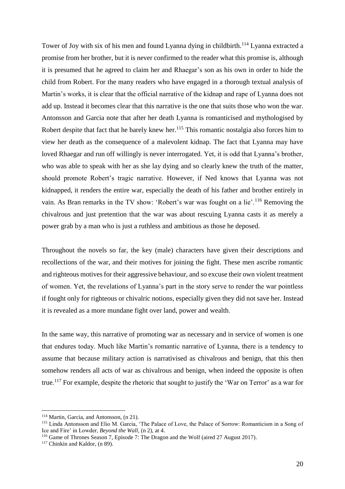Tower of Joy with six of his men and found Lyanna dying in childbirth. <sup>114</sup> Lyanna extracted a promise from her brother, but it is never confirmed to the reader what this promise is, although it is presumed that he agreed to claim her and Rhaegar's son as his own in order to hide the child from Robert. For the many readers who have engaged in a thorough textual analysis of Martin's works, it is clear that the official narrative of the kidnap and rape of Lyanna does not add up. Instead it becomes clear that this narrative is the one that suits those who won the war. Antonsson and Garcia note that after her death Lyanna is romanticised and mythologised by Robert despite that fact that he barely knew her.<sup>115</sup> This romantic nostalgia also forces him to view her death as the consequence of a malevolent kidnap. The fact that Lyanna may have loved Rhaegar and run off willingly is never interrogated. Yet, it is odd that Lyanna's brother, who was able to speak with her as she lay dying and so clearly knew the truth of the matter, should promote Robert's tragic narrative. However, if Ned knows that Lyanna was not kidnapped, it renders the entire war, especially the death of his father and brother entirely in vain. As Bran remarks in the TV show: 'Robert's war was fought on a lie'.<sup>116</sup> Removing the chivalrous and just pretention that the war was about rescuing Lyanna casts it as merely a power grab by a man who is just a ruthless and ambitious as those he deposed.

Throughout the novels so far, the key (male) characters have given their descriptions and recollections of the war, and their motives for joining the fight. These men ascribe romantic and righteous motives for their aggressive behaviour, and so excuse their own violent treatment of women. Yet, the revelations of Lyanna's part in the story serve to render the war pointless if fought only for righteous or chivalric notions, especially given they did not save her. Instead it is revealed as a more mundane fight over land, power and wealth.

In the same way, this narrative of promoting war as necessary and in service of women is one that endures today. Much like Martin's romantic narrative of Lyanna, there is a tendency to assume that because military action is narrativised as chivalrous and benign, that this then somehow renders all acts of war as chivalrous and benign, when indeed the opposite is often true.<sup>117</sup> For example, despite the rhetoric that sought to justify the 'War on Terror' as a war for

<sup>114</sup> Martin, Garcia, and Antonsson, (n 21).

<sup>115</sup> Linda Antonsson and Elio M. Garcia, 'The Palace of Love, the Palace of Sorrow: Romanticism in a Song of Ice and Fire' in Lowder, *Beyond the Wall*, (n 2), at 4.

<sup>116</sup> Game of Thrones Season 7, Episode 7: The Dragon and the Wolf (aired 27 August 2017).

<sup>117</sup> Chinkin and Kaldor, (n 89).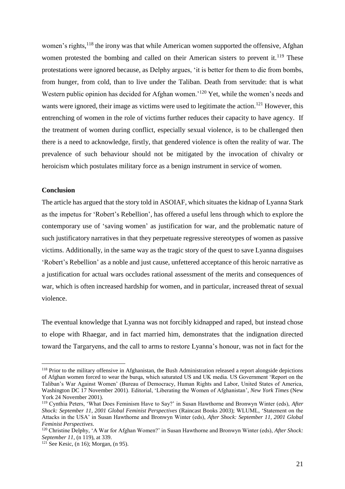women's rights, <sup>118</sup> the irony was that while American women supported the offensive, Afghan women protested the bombing and called on their American sisters to prevent it.<sup>119</sup> These protestations were ignored because, as Delphy argues, 'it is better for them to die from bombs, from hunger, from cold, than to live under the Taliban. Death from servitude: that is what Western public opinion has decided for Afghan women.<sup>'120</sup> Yet, while the women's needs and wants were ignored, their image as victims were used to legitimate the action.<sup>121</sup> However, this entrenching of women in the role of victims further reduces their capacity to have agency. If the treatment of women during conflict, especially sexual violence, is to be challenged then there is a need to acknowledge, firstly, that gendered violence is often the reality of war. The prevalence of such behaviour should not be mitigated by the invocation of chivalry or heroicism which postulates military force as a benign instrument in service of women.

# **Conclusion**

 $\overline{a}$ 

The article has argued that the story told in ASOIAF, which situates the kidnap of Lyanna Stark as the impetus for 'Robert's Rebellion', has offered a useful lens through which to explore the contemporary use of 'saving women' as justification for war, and the problematic nature of such justificatory narratives in that they perpetuate regressive stereotypes of women as passive victims. Additionally, in the same way as the tragic story of the quest to save Lyanna disguises 'Robert's Rebellion' as a noble and just cause, unfettered acceptance of this heroic narrative as a justification for actual wars occludes rational assessment of the merits and consequences of war, which is often increased hardship for women, and in particular, increased threat of sexual violence.

The eventual knowledge that Lyanna was not forcibly kidnapped and raped, but instead chose to elope with Rhaegar, and in fact married him, demonstrates that the indignation directed toward the Targaryens, and the call to arms to restore Lyanna's honour, was not in fact for the

<sup>118</sup> Prior to the military offensive in Afghanistan, the Bush Administration released a report alongside depictions of Afghan women forced to wear the burqa, which saturated US and UK media. US Government 'Report on the Taliban's War Against Women' (Bureau of Democracy, Human Rights and Labor, United States of America, Washington DC 17 November 2001). Editorial, 'Liberating the Women of Afghanistan', *New York Times* (New York 24 November 2001).

<sup>119</sup> Cynthia Peters, 'What Does Feminism Have to Say?' in Susan Hawthorne and Bronwyn Winter (eds), *After Shock: September 11, 2001 Global Feminist Perspectives* (Raincast Books 2003); WLUML, 'Statement on the Attacks in the USA' in Susan Hawthorne and Bronwyn Winter (eds), *After Shock: September 11, 2001 Global Feminist Perspectives*.

<sup>120</sup> Christine Delphy, 'A War for Afghan Women?' in Susan Hawthorne and Bronwyn Winter (eds), *After Shock: September 11,* (n 119), at 339.

 $121$  See Kesic, (n 16); Morgan, (n 95).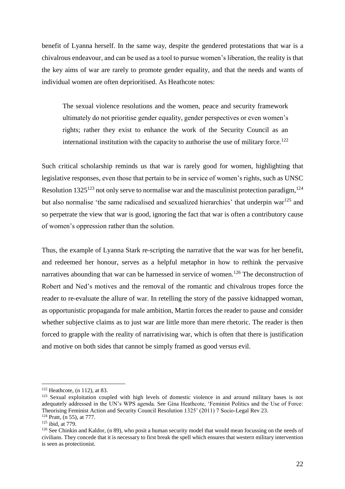benefit of Lyanna herself. In the same way, despite the gendered protestations that war is a chivalrous endeavour, and can be used as a tool to pursue women's liberation, the reality is that the key aims of war are rarely to promote gender equality, and that the needs and wants of individual women are often deprioritised. As Heathcote notes:

The sexual violence resolutions and the women, peace and security framework ultimately do not prioritise gender equality, gender perspectives or even women's rights; rather they exist to enhance the work of the Security Council as an international institution with the capacity to authorise the use of military force.<sup>122</sup>

Such critical scholarship reminds us that war is rarely good for women, highlighting that legislative responses, even those that pertain to be in service of women's rights, such as UNSC Resolution  $1325^{123}$  not only serve to normalise war and the masculinist protection paradigm,  $124$ but also normalise 'the same radicalised and sexualized hierarchies' that underpin war<sup>125</sup> and so perpetrate the view that war is good, ignoring the fact that war is often a contributory cause of women's oppression rather than the solution.

Thus, the example of Lyanna Stark re-scripting the narrative that the war was for her benefit, and redeemed her honour, serves as a helpful metaphor in how to rethink the pervasive narratives abounding that war can be harnessed in service of women.<sup>126</sup> The deconstruction of Robert and Ned's motives and the removal of the romantic and chivalrous tropes force the reader to re-evaluate the allure of war. In retelling the story of the passive kidnapped woman, as opportunistic propaganda for male ambition, Martin forces the reader to pause and consider whether subjective claims as to just war are little more than mere rhetoric. The reader is then forced to grapple with the reality of narrativising war, which is often that there is justification and motive on both sides that cannot be simply framed as good versus evil.

<sup>122</sup> Heathcote, (n 112), at 83.

<sup>&</sup>lt;sup>123</sup> Sexual exploitation coupled with high levels of domestic violence in and around military bases is not adequately addressed in the UN's WPS agenda. See Gina Heathcote, 'Feminist Politics and the Use of Force: Theorising Feminist Action and Security Council Resolution 1325' (2011) 7 Socio-Legal Rev 23. <sup>124</sup> Pratt, (n 55), at 777.

 $125$  ibid, at 779.

<sup>&</sup>lt;sup>126</sup> See Chinkin and Kaldor, (n 89), who posit a human security model that would mean focussing on the needs of civilians. They concede that it is necessary to first break the spell which ensures that western military intervention is seen as protectionist.